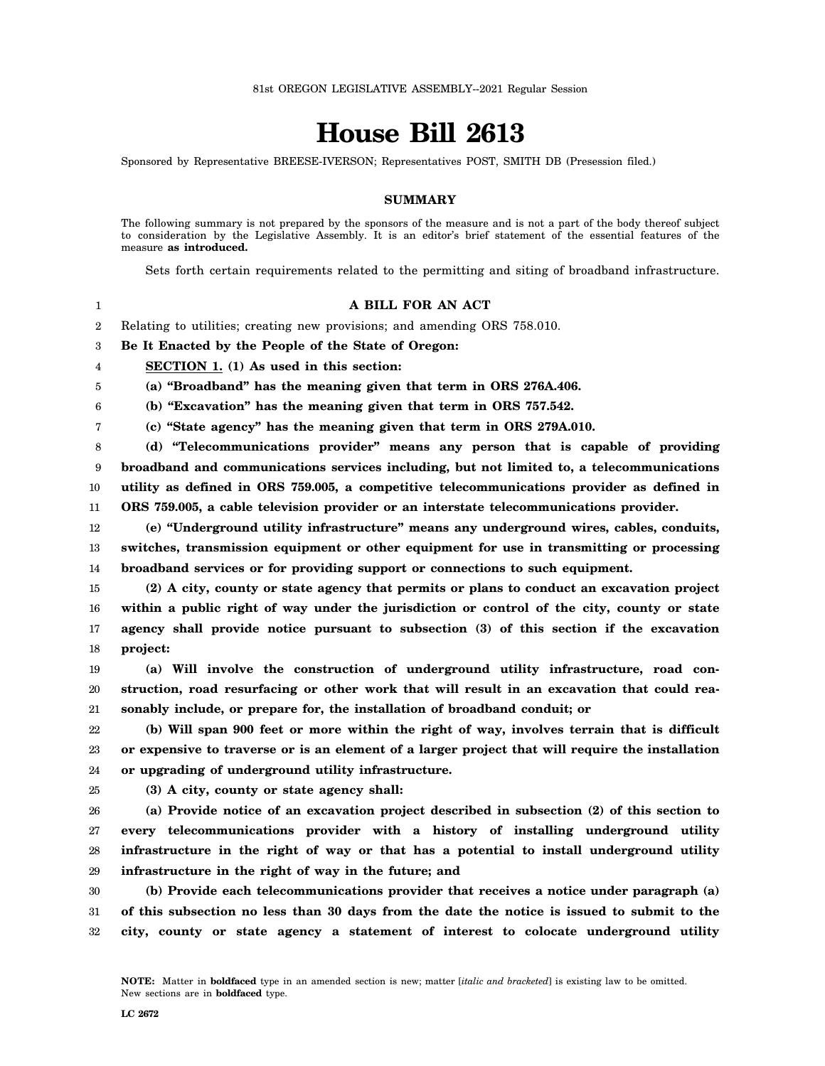## **House Bill 2613**

Sponsored by Representative BREESE-IVERSON; Representatives POST, SMITH DB (Presession filed.)

## **SUMMARY**

The following summary is not prepared by the sponsors of the measure and is not a part of the body thereof subject to consideration by the Legislative Assembly. It is an editor's brief statement of the essential features of the measure **as introduced.**

Sets forth certain requirements related to the permitting and siting of broadband infrastructure.

| 1              | A BILL FOR AN ACT                                                                                |
|----------------|--------------------------------------------------------------------------------------------------|
| $\overline{2}$ | Relating to utilities; creating new provisions; and amending ORS 758.010.                        |
| 3              | Be It Enacted by the People of the State of Oregon:                                              |
| 4              | SECTION 1. (1) As used in this section:                                                          |
| 5              | (a) "Broadband" has the meaning given that term in ORS 276A.406.                                 |
| 6              | (b) "Excavation" has the meaning given that term in ORS 757.542.                                 |
| 7              | (c) "State agency" has the meaning given that term in ORS 279A.010.                              |
| 8              | (d) "Telecommunications provider" means any person that is capable of providing                  |
| 9              | broadband and communications services including, but not limited to, a telecommunications        |
| 10             | utility as defined in ORS 759.005, a competitive telecommunications provider as defined in       |
| 11             | ORS 759.005, a cable television provider or an interstate telecommunications provider.           |
| 12             | (e) "Underground utility infrastructure" means any underground wires, cables, conduits,          |
| 13             | switches, transmission equipment or other equipment for use in transmitting or processing        |
| 14             | broadband services or for providing support or connections to such equipment.                    |
| 15             | (2) A city, county or state agency that permits or plans to conduct an excavation project        |
| 16             | within a public right of way under the jurisdiction or control of the city, county or state      |
| 17             | agency shall provide notice pursuant to subsection (3) of this section if the excavation         |
| 18             | project:                                                                                         |
| 19             | (a) Will involve the construction of underground utility infrastructure, road con-               |
| 20             | struction, road resurfacing or other work that will result in an excavation that could rea-      |
| 21             | sonably include, or prepare for, the installation of broadband conduit; or                       |
| 22             | (b) Will span 900 feet or more within the right of way, involves terrain that is difficult       |
| 23             | or expensive to traverse or is an element of a larger project that will require the installation |
| 24             | or upgrading of underground utility infrastructure.                                              |
| 25             | (3) A city, county or state agency shall:                                                        |
| 26             | (a) Provide notice of an excavation project described in subsection (2) of this section to       |
| 27             | every telecommunications provider with a history of installing underground utility               |
| 28             | infrastructure in the right of way or that has a potential to install underground utility        |
| 29             | infrastructure in the right of way in the future; and                                            |
| 30             | (b) Provide each telecommunications provider that receives a notice under paragraph (a)          |
| 31             | of this subsection no less than 30 days from the date the notice is issued to submit to the      |
| 32             | city, county or state agency a statement of interest to colocate underground utility             |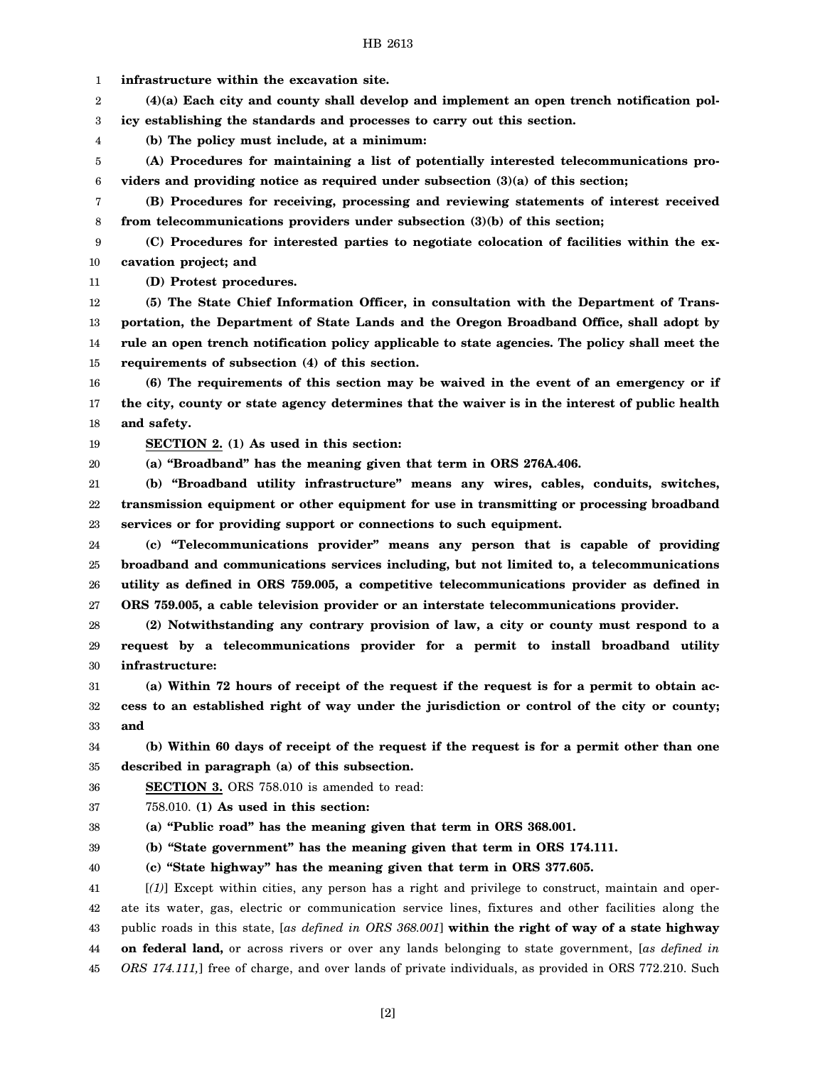**(a) "Broadband" has the meaning given that term in ORS 276A.406.**

21 22 23 **(b) "Broadband utility infrastructure" means any wires, cables, conduits, switches, transmission equipment or other equipment for use in transmitting or processing broadband services or for providing support or connections to such equipment.**

24 25 26 27 **(c) "Telecommunications provider" means any person that is capable of providing broadband and communications services including, but not limited to, a telecommunications utility as defined in ORS 759.005, a competitive telecommunications provider as defined in ORS 759.005, a cable television provider or an interstate telecommunications provider.**

28 29 30 **(2) Notwithstanding any contrary provision of law, a city or county must respond to a request by a telecommunications provider for a permit to install broadband utility infrastructure:**

31 32 33 **(a) Within 72 hours of receipt of the request if the request is for a permit to obtain access to an established right of way under the jurisdiction or control of the city or county; and**

34 35 **(b) Within 60 days of receipt of the request if the request is for a permit other than one described in paragraph (a) of this subsection.**

36 **SECTION 3.** ORS 758.010 is amended to read:

37 758.010. **(1) As used in this section:**

38 **(a) "Public road" has the meaning given that term in ORS 368.001.**

39 **(b) "State government" has the meaning given that term in ORS 174.111.**

40 **(c) "State highway" has the meaning given that term in ORS 377.605.**

41 42 43 44 45 [*(1)*] Except within cities, any person has a right and privilege to construct, maintain and operate its water, gas, electric or communication service lines, fixtures and other facilities along the public roads in this state, [*as defined in ORS 368.001*] **within the right of way of a state highway on federal land,** or across rivers or over any lands belonging to state government, [*as defined in ORS 174.111,*] free of charge, and over lands of private individuals, as provided in ORS 772.210. Such

[2]

2 3 **(4)(a) Each city and county shall develop and implement an open trench notification policy establishing the standards and processes to carry out this section.**

HB 2613

**(b) The policy must include, at a minimum:**

**SECTION 2. (1) As used in this section:**

5 6 **(A) Procedures for maintaining a list of potentially interested telecommunications providers and providing notice as required under subsection (3)(a) of this section;**

7 8 **(B) Procedures for receiving, processing and reviewing statements of interest received from telecommunications providers under subsection (3)(b) of this section;**

9 10 **(C) Procedures for interested parties to negotiate colocation of facilities within the excavation project; and**

**(D) Protest procedures.**

**and safety.**

1

4

11

12 13 14 15 **(5) The State Chief Information Officer, in consultation with the Department of Transportation, the Department of State Lands and the Oregon Broadband Office, shall adopt by rule an open trench notification policy applicable to state agencies. The policy shall meet the requirements of subsection (4) of this section.**

**(6) The requirements of this section may be waived in the event of an emergency or if the city, county or state agency determines that the waiver is in the interest of public health**